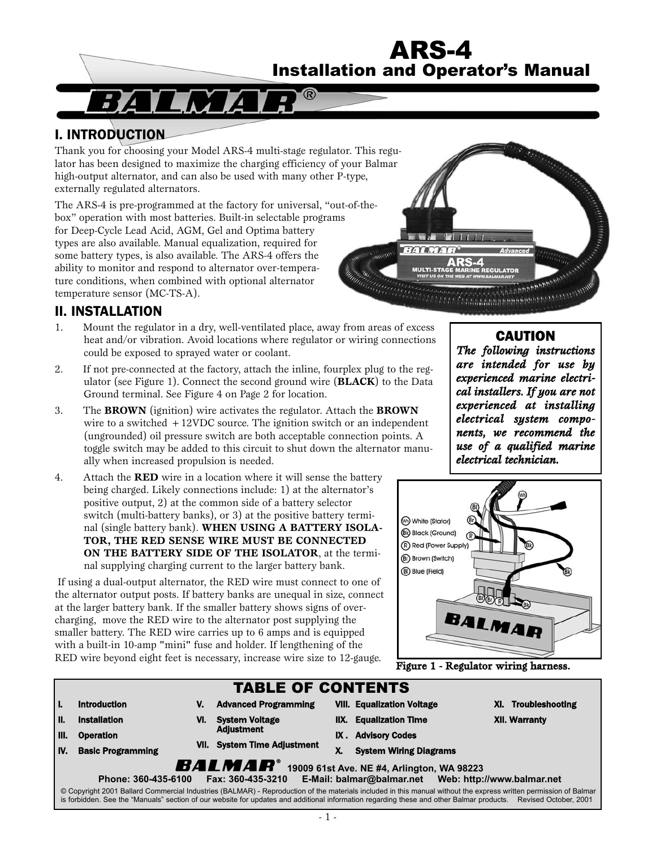# ARS-4 Installation and Operator's Manual

### I. INTRODUCTION

Thank you for choosing your Model ARS-4 multi-stage regulator. This regulator has been designed to maximize the charging efficiency of your Balmar high-output alternator, and can also be used with many other P-type, externally regulated alternators.

The ARS-4 is pre-programmed at the factory for universal, "out-of-thebox" operation with most batteries. Built-in selectable programs for Deep-Cycle Lead Acid, AGM, Gel and Optima battery types are also available. Manual equalization, required for some battery types, is also available. The ARS-4 offers the ability to monitor and respond to alternator over-temperature conditions, when combined with optional alternator temperature sensor (MC-TS-A).

### II. INSTALLATION

- 1. Mount the regulator in a dry, well-ventilated place, away from areas of excess heat and/or vibration. Avoid locations where regulator or wiring connections could be exposed to sprayed water or coolant.
- 2. If not pre-connected at the factory, attach the inline, fourplex plug to the regulator (see Figure 1). Connect the second ground wire (**BLACK**) to the Data Ground terminal. See Figure 4 on Page 2 for location.
- 3. The **BROWN** (ignition) wire activates the regulator. Attach the **BROWN** wire to a switched +12VDC source. The ignition switch or an independent (ungrounded) oil pressure switch are both acceptable connection points. A toggle switch may be added to this circuit to shut down the alternator manually when increased propulsion is needed.
- 4. Attach the **RED** wire in a location where it will sense the battery being charged. Likely connections include: 1) at the alternator's positive output, 2) at the common side of a battery selector switch (multi-battery banks), or 3) at the positive battery terminal (single battery bank). **WHEN USING A BATTERY ISOLA-TOR, THE RED SENSE WIRE MUST BE CONNECTED ON THE BATTERY SIDE OF THE ISOLATOR**, at the terminal supplying charging current to the larger battery bank.

If using a dual-output alternator, the RED wire must connect to one of the alternator output posts. If battery banks are unequal in size, connect at the larger battery bank. If the smaller battery shows signs of overcharging, move the RED wire to the alternator post supplying the smaller battery. The RED wire carries up to 6 amps and is equipped with a built-in 10-amp "mini" fuse and holder. If lengthening of the RED wire beyond eight feet is necessary, increase wire size to 12-gauge.



# **CAUTION**

*The following instructions are intended for use by experienced marine electrical installers. If you are not experienced at installing electrical system components, we recommend the use of a qualified marine electrical technician.*



Figure 1 - Regulator wiring harness.

| <b>TABLE OF CONTENTS</b> |                                                                       |     |                                                                           |      |                                                                                                                                                                                                                                                                                                                                    |                      |  |
|--------------------------|-----------------------------------------------------------------------|-----|---------------------------------------------------------------------------|------|------------------------------------------------------------------------------------------------------------------------------------------------------------------------------------------------------------------------------------------------------------------------------------------------------------------------------------|----------------------|--|
|                          | <b>Introduction</b>                                                   | V.  | <b>Advanced Programming</b>                                               |      | <b>VIII. Equalization Voltage</b>                                                                                                                                                                                                                                                                                                  | XI. Troubleshooting  |  |
| Н.                       | <b>Installation</b>                                                   | VI. | <b>System Voltage</b><br><b>Adjustment</b><br>VII. System Time Adjustment | IIX. | <b>Equalization Time</b>                                                                                                                                                                                                                                                                                                           | <b>XII. Warranty</b> |  |
| III.                     | <b>Operation</b>                                                      |     |                                                                           |      | IX. Advisory Codes                                                                                                                                                                                                                                                                                                                 |                      |  |
| IV.                      | <b>Basic Programming</b>                                              |     |                                                                           |      | <b>System Wiring Diagrams</b>                                                                                                                                                                                                                                                                                                      |                      |  |
|                          | <b>BALMAR</b> <sup>®</sup> 19009 61st Ave. NE #4, Arlington, WA 98223 |     |                                                                           |      |                                                                                                                                                                                                                                                                                                                                    |                      |  |
|                          | Phone: 360-435-6100                                                   |     | Fax: 360-435-3210                                                         |      |                                                                                                                                                                                                                                                                                                                                    |                      |  |
|                          |                                                                       |     |                                                                           |      | © Copyright 2001 Ballard Commercial Industries (BALMAR) - Reproduction of the materials included in this manual without the express written permission of Balmar<br>is forbidden. See the "Manuals" section of our website for updates and additional information regarding these and other Balmar products. Revised October, 2001 |                      |  |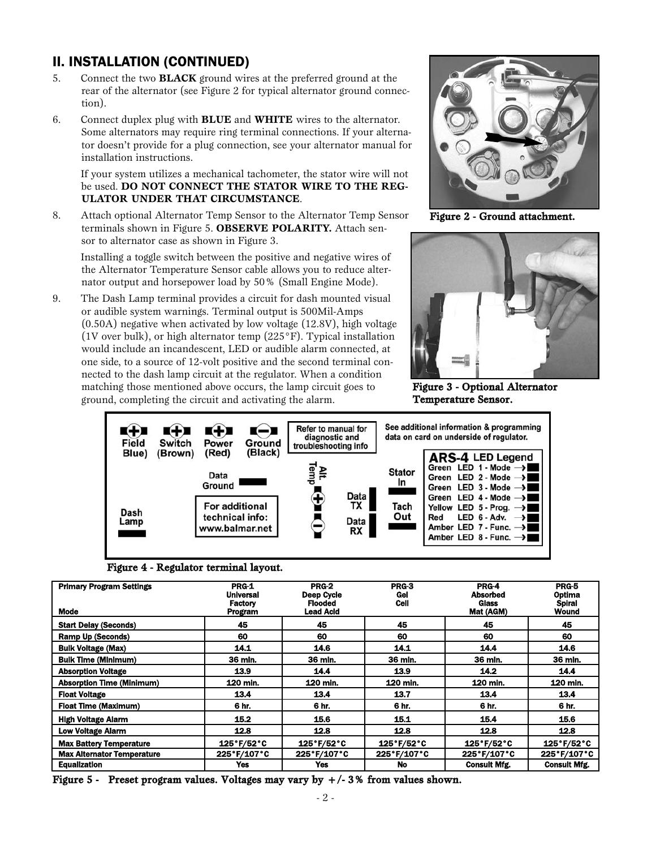### II. INSTALLATION (CONTINUED)

- 5. Connect the two **BLACK** ground wires at the preferred ground at the rear of the alternator (see Figure 2 for typical alternator ground connection).
- 6. Connect duplex plug with **BLUE** and **WHITE** wires to the alternator. Some alternators may require ring terminal connections. If your alternator doesn't provide for a plug connection, see your alternator manual for installation instructions.

#### If your system utilizes a mechanical tachometer, the stator wire will not be used. **DO NOT CONNECT THE STATOR WIRE TO THE REG-ULATOR UNDER THAT CIRCUMSTANCE**.

8. Attach optional Alternator Temp Sensor to the Alternator Temp Sensor terminals shown in Figure 5. **OBSERVE POLARITY.** Attach sensor to alternator case as shown in Figure 3.

Installing a toggle switch between the positive and negative wires of the Alternator Temperature Sensor cable allows you to reduce alternator output and horsepower load by 50% (Small Engine Mode).

9. The Dash Lamp terminal provides a circuit for dash mounted visual or audible system warnings. Terminal output is 500Mil-Amps (0.50A) negative when activated by low voltage (12.8V), high voltage (1V over bulk), or high alternator temp (225°F). Typical installation would include an incandescent, LED or audible alarm connected, at one side, to a source of 12-volt positive and the second terminal connected to the dash lamp circuit at the regulator. When a condition matching those mentioned above occurs, the lamp circuit goes to ground, completing the circuit and activating the alarm.



Figure 2 - Ground attachment.



Figure 3 - Optional Alternator Temperature Sensor.



Figure 4 - Regulator terminal layout.

| <b>Primary Program Settings</b><br><b>Mode</b> | PRG-1<br><b>Universal</b><br>Factory<br>Program | <b>PRG-2</b><br>Deep Cycle<br><b>Flooded</b><br>Lead Acid | PRG-3<br>Gel<br>Cell | <b>PRG-4</b><br><b>Absorbed</b><br>Glass<br>Mat (AGM) | PRG-5<br>Optima<br><b>Spiral</b><br><b>Wound</b> |
|------------------------------------------------|-------------------------------------------------|-----------------------------------------------------------|----------------------|-------------------------------------------------------|--------------------------------------------------|
| <b>Start Delay (Seconds)</b>                   | 45                                              | 45                                                        | 45                   | 45                                                    | 45                                               |
| <b>Ramp Up (Seconds)</b>                       | 60                                              | 60                                                        | 60                   | 60                                                    | 60                                               |
| <b>Bulk Voltage (Max)</b>                      | 14.1                                            | 14.6                                                      | 14.1                 | 14.4                                                  | 14.6                                             |
| <b>Bulk Time (Minimum)</b>                     | 36 min.                                         | 36 mln.                                                   | 36 min.              | 36 min.                                               | 36 min.                                          |
| <b>Absorption Voltage</b>                      | 13.9                                            | 14.4                                                      | 13.9                 | 14.2                                                  | 14.4                                             |
| <b>Absorption Time (Minimum)</b>               | 120 min.                                        | 120 min.                                                  | 120 min.             | 120 min.                                              | 120 min.                                         |
| <b>Float Voltage</b>                           | 13.4                                            | 13.4                                                      | 13.7                 | 13.4                                                  | 13.4                                             |
| <b>Float Time (Maximum)</b>                    | 6 hr.                                           | 6 hr.                                                     | 6 hr.                | 6 hr.                                                 | 6 hr.                                            |
| <b>High Voltage Alarm</b>                      | 15.2                                            | 15.6                                                      | 15.1                 | 15.4                                                  | 15.6                                             |
| <b>Low Voltage Alarm</b>                       | 12.8                                            | 12.8                                                      | 12.8                 | 12.8                                                  | 12.8                                             |
| <b>Max Battery Temperature</b>                 | 125°F/52°C                                      | 125°F/52°C                                                | 125°F/52°C           | 125°F/52°C                                            | 125°F/52°C                                       |
| <b>Max Alternator Temperature</b>              | 225°F/107°C                                     | 225°F/107°C                                               | 225°F/107°C          | 225°F/107°C                                           | 225°F/107°C                                      |
| <b>Equalization</b>                            | Yes                                             | Yes                                                       | No                   | <b>Consult Mfg.</b>                                   | <b>Consult Mfg.</b>                              |

Figure 5 - Preset program values. Voltages may vary by  $+/-3$ % from values shown.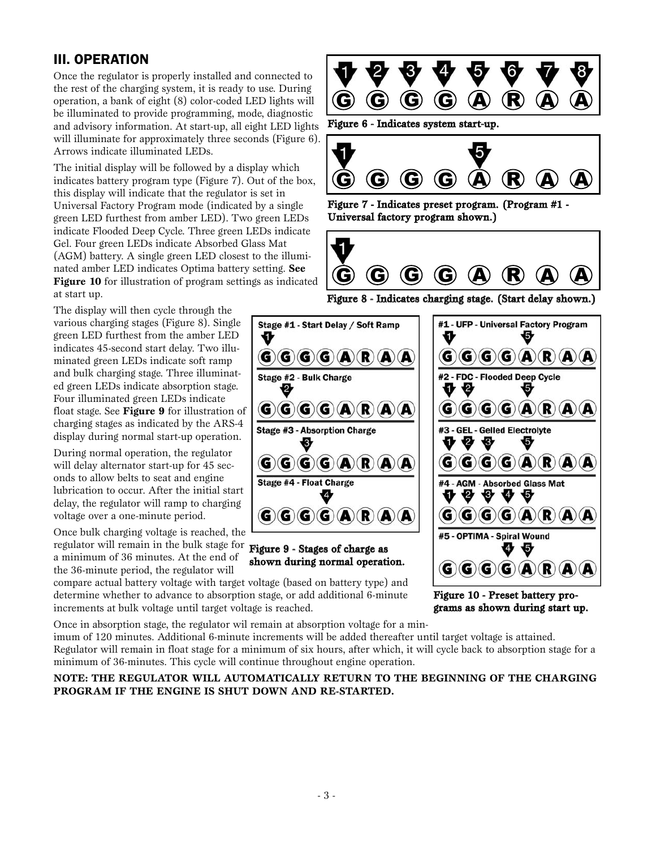### III. OPERATION

Once the regulator is properly installed and connected to the rest of the charging system, it is ready to use. During operation, a bank of eight (8) color-coded LED lights will be illuminated to provide programming, mode, diagnostic and advisory information. At start-up, all eight LED lights will illuminate for approximately three seconds (Figure 6). Arrows indicate illuminated LEDs.

The initial display will be followed by a display which indicates battery program type (Figure 7). Out of the box, this display will indicate that the regulator is set in Universal Factory Program mode (indicated by a single green LED furthest from amber LED). Two green LEDs indicate Flooded Deep Cycle. Three green LEDs indicate Gel. Four green LEDs indicate Absorbed Glass Mat (AGM) battery. A single green LED closest to the illuminated amber LED indicates Optima battery setting. **See Figure 10** for illustration of program settings as indicated at start up.

The display will then cycle through the various charging stages (Figure 8). Single green LED furthest from the amber LED indicates 45-second start delay. Two illuminated green LEDs indicate soft ramp and bulk charging stage. Three illuminated green LEDs indicate absorption stage. Four illuminated green LEDs indicate float stage. See **Figure 9** for illustration of charging stages as indicated by the ARS-4 display during normal start-up operation.

During normal operation, the regulator will delay alternator start-up for 45 seconds to allow belts to seat and engine lubrication to occur. After the initial start delay, the regulator will ramp to charging voltage over a one-minute period.

Once bulk charging voltage is reached, the regulator will remain in the bulk stage for **Figure 9 - Stages of charge as** a minimum of 36 minutes. At the end of the 36-minute period, the regulator will

compare actual battery voltage with target voltage (based on battery type) and determine whether to advance to absorption stage, or add additional 6-minute increments at bulk voltage until target voltage is reached.

Once in absorption stage, the regulator wil remain at absorption voltage for a min-

imum of 120 minutes. Additional 6-minute increments will be added thereafter until target voltage is attained. Regulator will remain in float stage for a minimum of six hours, after which, it will cycle back to absorption stage for a minimum of 36-minutes. This cycle will continue throughout engine operation.

**NOTE: THE REGULATOR WILL AUTOMATICALLY RETURN TO THE BEGINNING OF THE CHARGING PROGRAM IF THE ENGINE IS SHUT DOWN AND RE-STARTED.** 



Figure 6 - Indicates system start-up.



Figure 7 - Indicates preset program. (Program #1 - Universal factory program shown.)



Figure 8 - Indicates charging stage. (Start delay shown.)



Figure 10 - Preset battery programs as shown during start up.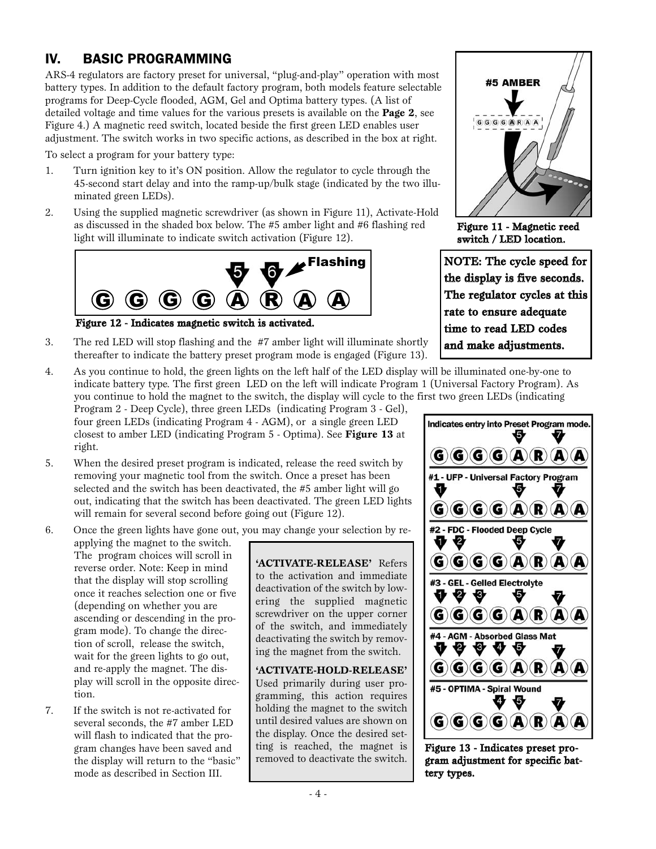# IV. BASIC PROGRAMMING

ARS-4 regulators are factory preset for universal, "plug-and-play" operation with most battery types. In addition to the default factory program, both models feature selectable programs for Deep-Cycle flooded, AGM, Gel and Optima battery types. (A list of detailed voltage and time values for the various presets is available on the **Page 2**, see Figure 4.) A magnetic reed switch, located beside the first green LED enables user adjustment. The switch works in two specific actions, as described in the box at right.

To select a program for your battery type:

- 1. Turn ignition key to it's ON position. Allow the regulator to cycle through the 45-second start delay and into the ramp-up/bulk stage (indicated by the two illuminated green LEDs).
- 2. Using the supplied magnetic screwdriver (as shown in Figure 11), Activate-Hold as discussed in the shaded box below. The #5 amber light and #6 flashing red light will illuminate to indicate switch activation (Figure 12).



Figure 12 - Indicates magnetic switch is activated.

- 3. The red LED will stop flashing and the #7 amber light will illuminate shortly thereafter to indicate the battery preset program mode is engaged (Figure 13).
- 4. As you continue to hold, the green lights on the left half of the LED display will be illuminated one-by-one to indicate battery type. The first green LED on the left will indicate Program 1 (Universal Factory Program). As you continue to hold the magnet to the switch, the display will cycle to the first two green LEDs (indicating

Program 2 - Deep Cycle), three green LEDs (indicating Program 3 - Gel), four green LEDs (indicating Program 4 - AGM), or a single green LED closest to amber LED (indicating Program 5 - Optima). See **Figure 13** at right.

5. When the desired preset program is indicated, release the reed switch by removing your magnetic tool from the switch. Once a preset has been selected and the switch has been deactivated, the #5 amber light will go out, indicating that the switch has been deactivated. The green LED lights will remain for several second before going out (Figure 12).

6. Once the green lights have gone out, you may change your selection by re-

applying the magnet to the switch. The program choices will scroll in reverse order. Note: Keep in mind that the display will stop scrolling once it reaches selection one or five (depending on whether you are ascending or descending in the program mode). To change the direction of scroll, release the switch, wait for the green lights to go out, and re-apply the magnet. The display will scroll in the opposite direction.

7. If the switch is not re-activated for several seconds, the #7 amber LED will flash to indicated that the program changes have been saved and the display will return to the "basic" mode as described in Section III.

**'ACTIVATE-RELEASE'** Refers to the activation and immediate deactivation of the switch by lowering the supplied magnetic screwdriver on the upper corner of the switch, and immediately deactivating the switch by removing the magnet from the switch.

**'ACTIVATE-HOLD-RELEASE'** Used primarily during user programming, this action requires holding the magnet to the switch until desired values are shown on the display. Once the desired setting is reached, the magnet is removed to deactivate the switch.



Figure 11 - Magnetic reed switch / LED location.

NOTE: The cycle speed for the display is five seconds. The regulator cycles at this rate to ensure adequate time to read LED codes and make adjustments.



Figure 13 - Indicates preset program adjustment for specific battery types.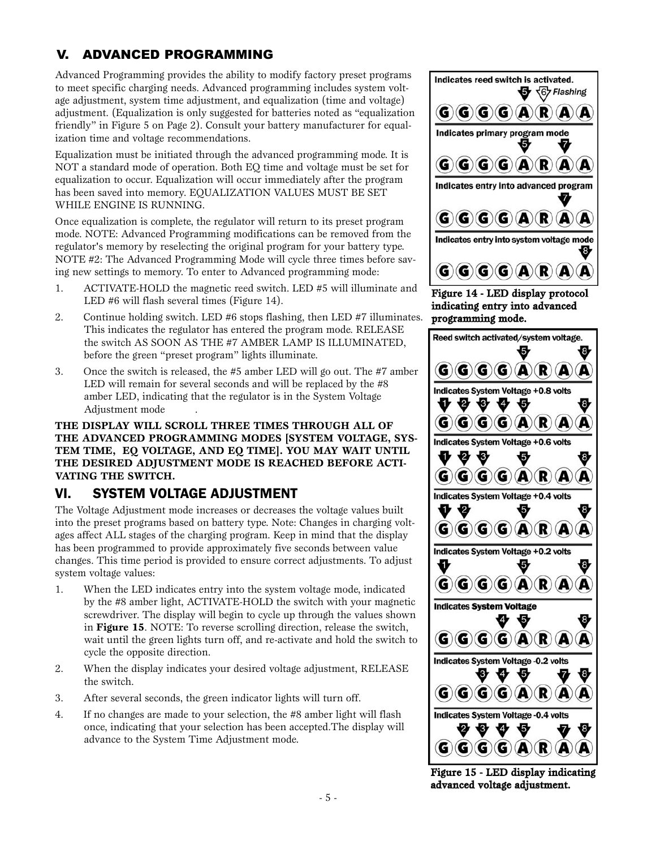### V. ADVANCED PROGRAMMING

Advanced Programming provides the ability to modify factory preset programs to meet specific charging needs. Advanced programming includes system voltage adjustment, system time adjustment, and equalization (time and voltage) adjustment. (Equalization is only suggested for batteries noted as "equalization friendly" in Figure 5 on Page 2). Consult your battery manufacturer for equalization time and voltage recommendations.

Equalization must be initiated through the advanced programming mode. It is NOT a standard mode of operation. Both EQ time and voltage must be set for equalization to occur. Equalization will occur immediately after the program has been saved into memory. EQUALIZATION VALUES MUST BE SET WHILE ENGINE IS RUNNING.

Once equalization is complete, the regulator will return to its preset program mode. NOTE: Advanced Programming modifications can be removed from the regulator's memory by reselecting the original program for your battery type. NOTE #2: The Advanced Programming Mode will cycle three times before saving new settings to memory. To enter to Advanced programming mode:

- 1. ACTIVATE-HOLD the magnetic reed switch. LED #5 will illuminate and LED #6 will flash several times (Figure 14).
- 2. Continue holding switch. LED #6 stops flashing, then LED #7 illuminates. This indicates the regulator has entered the program mode. RELEASE the switch AS SOON AS THE #7 AMBER LAMP IS ILLUMINATED, before the green "preset program" lights illuminate.
- 3. Once the switch is released, the #5 amber LED will go out. The #7 amber LED will remain for several seconds and will be replaced by the #8 amber LED, indicating that the regulator is in the System Voltage Adjustment mode .

**THE DISPLAY WILL SCROLL THREE TIMES THROUGH ALL OF THE ADVANCED PROGRAMMING MODES [SYSTEM VOLTAGE, SYS-TEM TIME, EQ VOLTAGE, AND EQ TIME]. YOU MAY WAIT UNTIL THE DESIRED ADJUSTMENT MODE IS REACHED BEFORE ACTI-VATING THE SWITCH.**

### VI. SYSTEM VOLTAGE ADJUSTMENT

The Voltage Adjustment mode increases or decreases the voltage values built into the preset programs based on battery type. Note: Changes in charging voltages affect ALL stages of the charging program. Keep in mind that the display has been programmed to provide approximately five seconds between value changes. This time period is provided to ensure correct adjustments. To adjust system voltage values:

- 1. When the LED indicates entry into the system voltage mode, indicated by the #8 amber light, ACTIVATE-HOLD the switch with your magnetic screwdriver. The display will begin to cycle up through the values shown in **Figure 15**. NOTE: To reverse scrolling direction, release the switch, wait until the green lights turn off, and re-activate and hold the switch to cycle the opposite direction.
- 2. When the display indicates your desired voltage adjustment, RELEASE the switch.
- 3. After several seconds, the green indicator lights will turn off.
- 4. If no changes are made to your selection, the #8 amber light will flash once, indicating that your selection has been accepted.The display will advance to the System Time Adjustment mode.



Figure 14 - LED display protocol indicating entry into advanced programming mode.



Figure 15 - LED display indicating advanced voltage adjustment.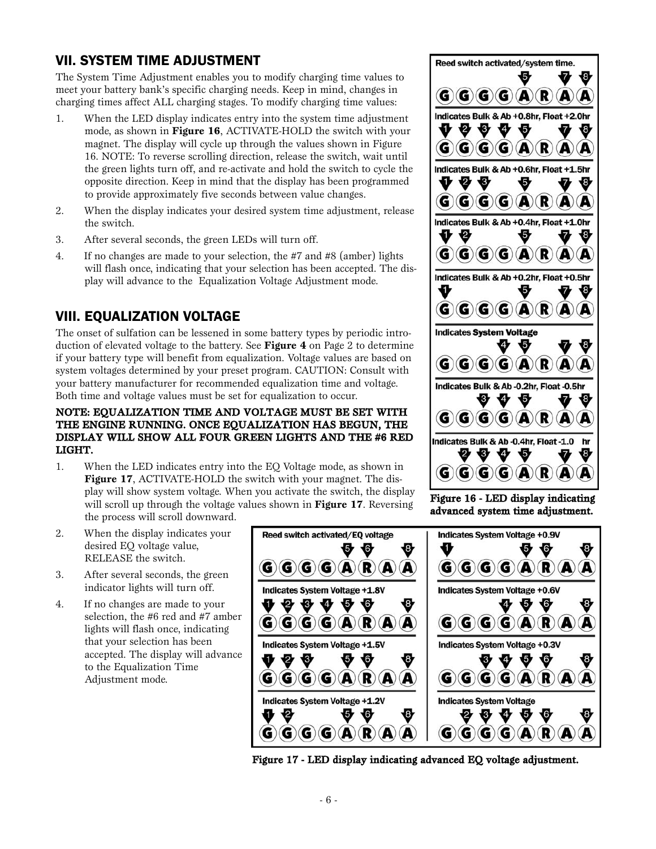### VII. SYSTEM TIME ADJUSTMENT

The System Time Adjustment enables you to modify charging time values to meet your battery bank's specific charging needs. Keep in mind, changes in charging times affect ALL charging stages. To modify charging time values:

- 1. When the LED display indicates entry into the system time adjustment mode, as shown in **Figure 16**, ACTIVATE-HOLD the switch with your magnet. The display will cycle up through the values shown in Figure 16. NOTE: To reverse scrolling direction, release the switch, wait until the green lights turn off, and re-activate and hold the switch to cycle the opposite direction. Keep in mind that the display has been programmed to provide approximately five seconds between value changes.
- 2. When the display indicates your desired system time adjustment, release the switch.
- 3. After several seconds, the green LEDs will turn off.
- 4. If no changes are made to your selection, the #7 and #8 (amber) lights will flash once, indicating that your selection has been accepted. The display will advance to the Equalization Voltage Adjustment mode.

# VIII. EQUALIZATION VOLTAGE

The onset of sulfation can be lessened in some battery types by periodic introduction of elevated voltage to the battery. See **Figure 4** on Page 2 to determine if your battery type will benefit from equalization. Voltage values are based on system voltages determined by your preset program. CAUTION: Consult with your battery manufacturer for recommended equalization time and voltage. Both time and voltage values must be set for equalization to occur.

#### NOTE: EQUALIZATION TIME AND VOLTAGE MUST BE SET WITH THE ENGINE RUNNING. ONCE EQUALIZATION HAS BEGUN, THE DISPLAY WILL SHOW ALL FOUR GREEN LIGHTS AND THE #6 RED LIGHT.

- 1. When the LED indicates entry into the EQ Voltage mode, as shown in **Figure 17**, ACTIVATE-HOLD the switch with your magnet. The display will show system voltage. When you activate the switch, the display will scroll up through the voltage values shown in **Figure 17**. Reversing the process will scroll downward.
- 2. When the display indicates your desired EQ voltage value, RELEASE the switch.
- 3. After several seconds, the green indicator lights will turn off.
- 4. If no changes are made to your selection, the #6 red and #7 amber lights will flash once, indicating that your selection has been accepted. The display will advance to the Equalization Time Adjustment mode.



Figure 17 - LED display indicating advanced EQ voltage adjustment.



Figure 16 - LED display indicating advanced system time adjustment.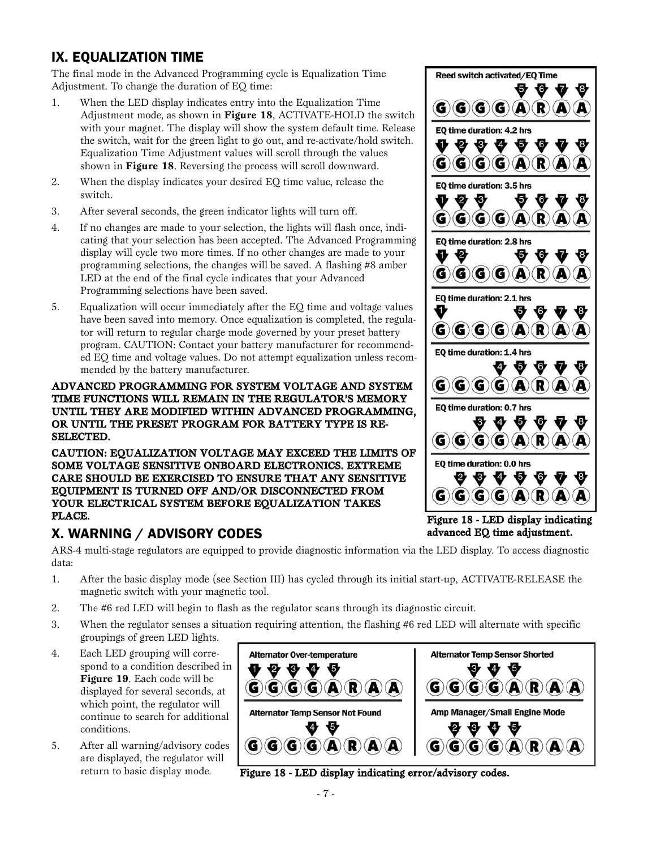# IX. EQUALIZATION TIME

The final mode in the Advanced Programming cycle is Equalization Time Adjustment. To change the duration of EQ time:

- 1. When the LED display indicates entry into the Equalization Time Adjustment mode, as shown in **Figure 18**, ACTIVATE-HOLD the switch with your magnet. The display will show the system default time. Release the switch, wait for the green light to go out, and re-activate/hold switch. Equalization Time Adjustment values will scroll through the values shown in **Figure 18**. Reversing the process will scroll downward.
- 2. When the display indicates your desired EQ time value, release the switch.
- 3. After several seconds, the green indicator lights will turn off.
- 4. If no changes are made to your selection, the lights will flash once, indicating that your selection has been accepted. The Advanced Programming display will cycle two more times. If no other changes are made to your programming selections, the changes will be saved. A flashing #8 amber LED at the end of the final cycle indicates that your Advanced Programming selections have been saved.
- 5. Equalization will occur immediately after the EQ time and voltage values have been saved into memory. Once equalization is completed, the regulator will return to regular charge mode governed by your preset battery program. CAUTION: Contact your battery manufacturer for recommended EQ time and voltage values. Do not attempt equalization unless recommended by the battery manufacturer.

#### ADVANCED PROGRAMMING FOR SYSTEM VOLTAGE AND SYSTEM TIME FUNCTIONS WILL REMAIN IN THE REGULATOR'S MEMORY UNTIL THEY ARE MODIFIED WITHIN ADVANCED PROGRAMMING, OR UNTIL THE PRESET PROGRAM FOR BATTERY TYPE IS RE-SELECTED.

CAUTION: EQUALIZATION VOLTAGE MAY EXCEED THE LIMITS OF SOME VOLTAGE SENSITIVE ONBOARD ELECTRONICS. EXTREME CARE SHOULD BE EXERCISED TO ENSURE THAT ANY SENSITIVE EQUIPMENT IS TURNED OFF AND/OR DISCONNECTED FROM YOUR ELECTRICAL SYSTEM BEFORE EQUALIZATION TAKES PLACE.

### X. WARNING / ADVISORY CODES

ARS-4 multi-stage regulators are equipped to provide diagnostic information via the LED display. To access diagnostic data:

- 1. After the basic display mode (see Section III) has cycled through its initial start-up, ACTIVATE-RELEASE the magnetic switch with your magnetic tool.
- 2. The #6 red LED will begin to flash as the regulator scans through its diagnostic circuit.
- 3. When the regulator senses a situation requiring attention, the flashing #6 red LED will alternate with specific groupings of green LED lights.
- 4. Each LED grouping will correspond to a condition described in **Figure 19**. Each code will be displayed for several seconds, at which point, the regulator will continue to search for additional conditions.
- 5. After all warning/advisory codes are displayed, the regulator will return to basic display mode.





**A** 

Reed switch activated/EO Time

 $\mathbf{G}(\mathbf{G})(\mathbf{G})(\mathbf{G})(\mathbf{A})(\mathbf{R})$ 

**Q Q Q** 

Ø

R)

R

 $\mathbf{G}(\mathbf{G})(\mathbf{G})(\mathbf{G})(\mathbf{A})(\mathbf{R})$ 

 $\mathbf{G}(\mathbf{G})(\mathbf{G})(\mathbf{A})$ 

 $\mathbf{G}(\mathbf{G})(\mathbf{G})(\mathbf{A})(\mathbf{R})$ 

EO time duration: 2.8 hrs

EO time duration: 2.1 hrs

 $\mathbf{G}(\mathbf{G})(\mathbf{G})(\mathbf{G})$ 

EQ time duration: 4.2 hrs

EQ time duration: 3.5 hrs

❤

₩ ₩

₩ O G)

G)

€

₩

₩

Figure 18 - LED display indicating advanced EQ time adjustment.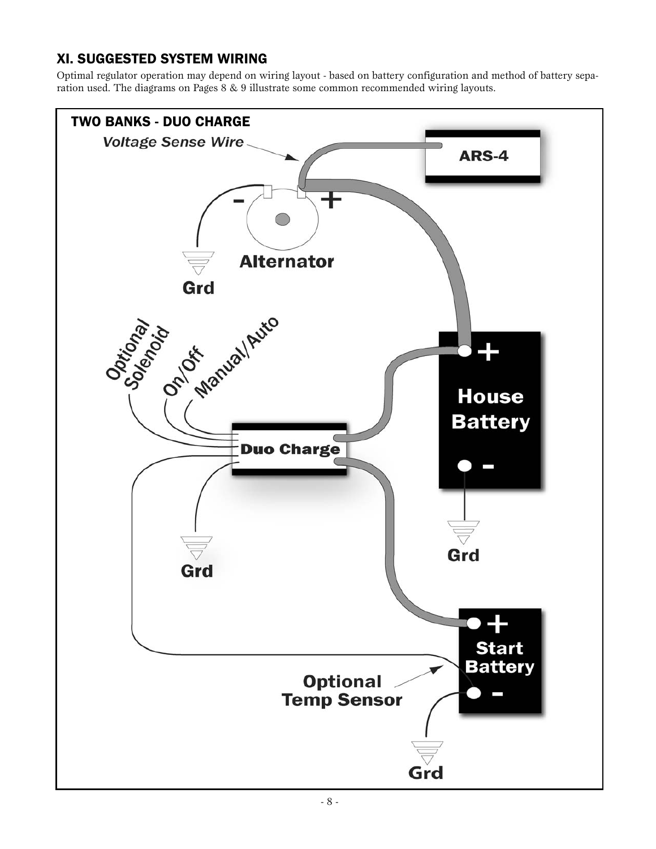# XI. SUGGESTED SYSTEM WIRING

Optimal regulator operation may depend on wiring layout - based on battery configuration and method of battery separation used. The diagrams on Pages 8 & 9 illustrate some common recommended wiring layouts.

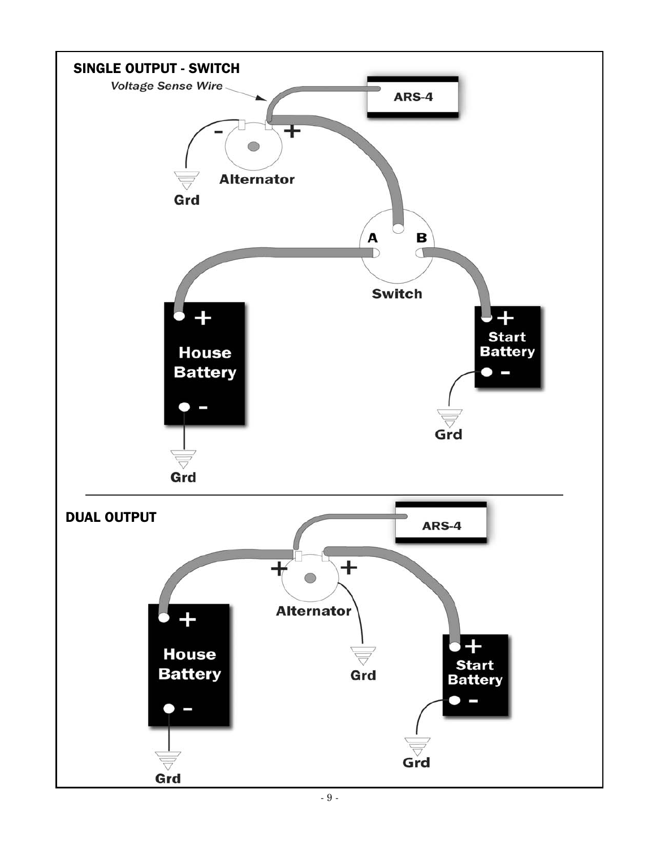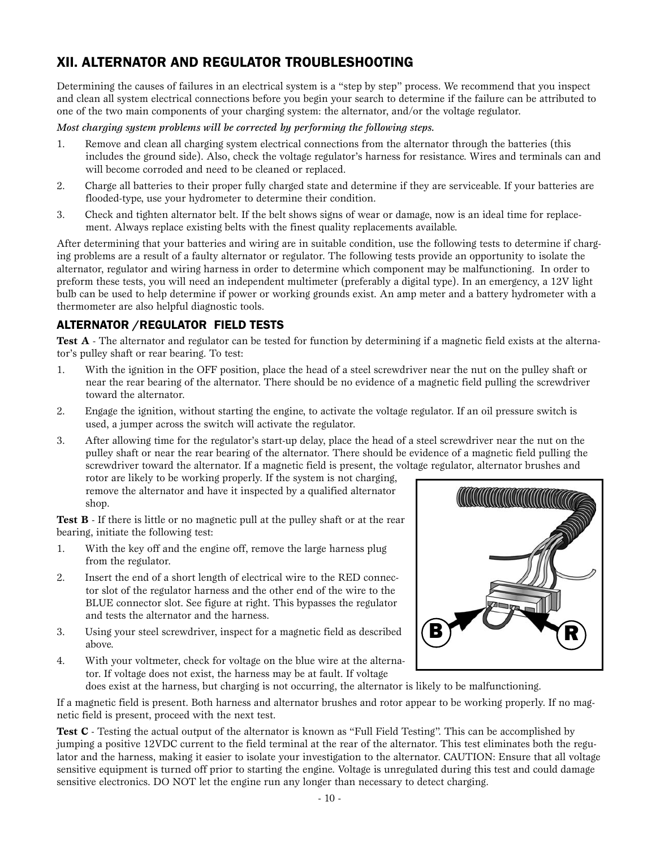### XII. ALTERNATOR AND REGULATOR TROUBLESHOOTING

Determining the causes of failures in an electrical system is a "step by step" process. We recommend that you inspect and clean all system electrical connections before you begin your search to determine if the failure can be attributed to one of the two main components of your charging system: the alternator, and/or the voltage regulator.

#### *Most charging system problems will be corrected by performing the following steps.*

- 1. Remove and clean all charging system electrical connections from the alternator through the batteries (this includes the ground side). Also, check the voltage regulator's harness for resistance. Wires and terminals can and will become corroded and need to be cleaned or replaced.
- 2. Charge all batteries to their proper fully charged state and determine if they are serviceable. If your batteries are flooded-type, use your hydrometer to determine their condition.
- 3. Check and tighten alternator belt. If the belt shows signs of wear or damage, now is an ideal time for replacement. Always replace existing belts with the finest quality replacements available.

After determining that your batteries and wiring are in suitable condition, use the following tests to determine if charging problems are a result of a faulty alternator or regulator. The following tests provide an opportunity to isolate the alternator, regulator and wiring harness in order to determine which component may be malfunctioning. In order to preform these tests, you will need an independent multimeter (preferably a digital type). In an emergency, a 12V light bulb can be used to help determine if power or working grounds exist. An amp meter and a battery hydrometer with a thermometer are also helpful diagnostic tools.

### ALTERNATOR /REGULATOR FIELD TESTS

Test A - The alternator and regulator can be tested for function by determining if a magnetic field exists at the alternator's pulley shaft or rear bearing. To test:

- 1. With the ignition in the OFF position, place the head of a steel screwdriver near the nut on the pulley shaft or near the rear bearing of the alternator. There should be no evidence of a magnetic field pulling the screwdriver toward the alternator.
- 2. Engage the ignition, without starting the engine, to activate the voltage regulator. If an oil pressure switch is used, a jumper across the switch will activate the regulator.
- 3. After allowing time for the regulator's start-up delay, place the head of a steel screwdriver near the nut on the pulley shaft or near the rear bearing of the alternator. There should be evidence of a magnetic field pulling the screwdriver toward the alternator. If a magnetic field is present, the voltage regulator, alternator brushes and

rotor are likely to be working properly. If the system is not charging, remove the alternator and have it inspected by a qualified alternator shop.

**Test B** - If there is little or no magnetic pull at the pulley shaft or at the rear bearing, initiate the following test:

- 1. With the key off and the engine off, remove the large harness plug from the regulator.
- 2. Insert the end of a short length of electrical wire to the RED connector slot of the regulator harness and the other end of the wire to the BLUE connector slot. See figure at right. This bypasses the regulator and tests the alternator and the harness.
- 3. Using your steel screwdriver, inspect for a magnetic field as described above.
- 4. With your voltmeter, check for voltage on the blue wire at the alternator. If voltage does not exist, the harness may be at fault. If voltage



does exist at the harness, but charging is not occurring, the alternator is likely to be malfunctioning.

If a magnetic field is present. Both harness and alternator brushes and rotor appear to be working properly. If no magnetic field is present, proceed with the next test.

**Test C** - Testing the actual output of the alternator is known as "Full Field Testing". This can be accomplished by jumping a positive 12VDC current to the field terminal at the rear of the alternator. This test eliminates both the regulator and the harness, making it easier to isolate your investigation to the alternator. CAUTION: Ensure that all voltage sensitive equipment is turned off prior to starting the engine. Voltage is unregulated during this test and could damage sensitive electronics. DO NOT let the engine run any longer than necessary to detect charging.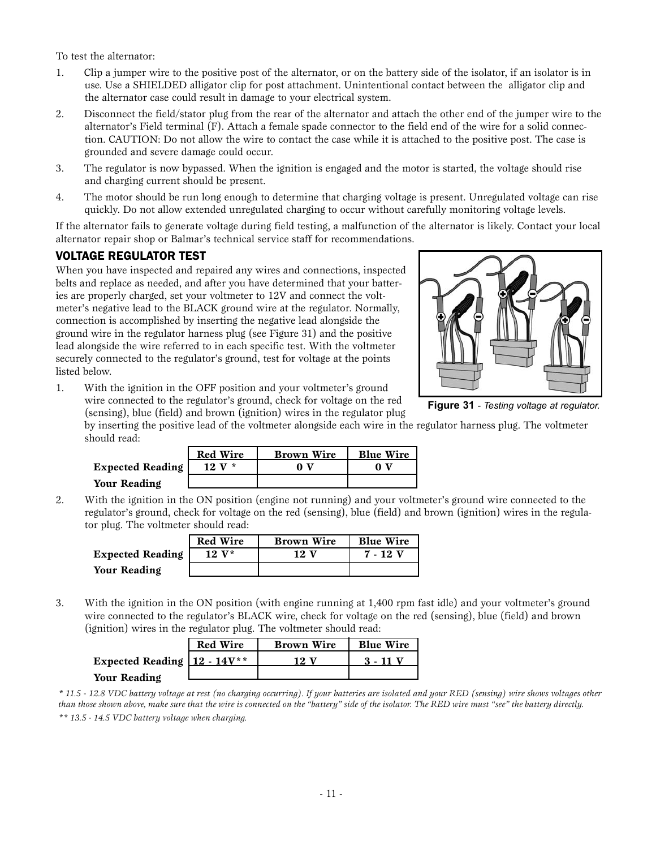To test the alternator:

- 1. Clip a jumper wire to the positive post of the alternator, or on the battery side of the isolator, if an isolator is in use. Use a SHIELDED alligator clip for post attachment. Unintentional contact between the alligator clip and the alternator case could result in damage to your electrical system.
- 2. Disconnect the field/stator plug from the rear of the alternator and attach the other end of the jumper wire to the alternator's Field terminal (F). Attach a female spade connector to the field end of the wire for a solid connection. CAUTION: Do not allow the wire to contact the case while it is attached to the positive post. The case is grounded and severe damage could occur.
- 3. The regulator is now bypassed. When the ignition is engaged and the motor is started, the voltage should rise and charging current should be present.
- 4. The motor should be run long enough to determine that charging voltage is present. Unregulated voltage can rise quickly. Do not allow extended unregulated charging to occur without carefully monitoring voltage levels.

If the alternator fails to generate voltage during field testing, a malfunction of the alternator is likely. Contact your local alternator repair shop or Balmar's technical service staff for recommendations.

#### VOLTAGE REGULATOR TEST

When you have inspected and repaired any wires and connections, inspected belts and replace as needed, and after you have determined that your batteries are properly charged, set your voltmeter to 12V and connect the voltmeter's negative lead to the BLACK ground wire at the regulator. Normally, connection is accomplished by inserting the negative lead alongside the ground wire in the regulator harness plug (see Figure 31) and the positive lead alongside the wire referred to in each specific test. With the voltmeter securely connected to the regulator's ground, test for voltage at the points listed below.



**Figure 31** *- Testing voltage at regulator.*

1. With the ignition in the OFF position and your voltmeter's ground wire connected to the regulator's ground, check for voltage on the red (sensing), blue (field) and brown (ignition) wires in the regulator plug

by inserting the positive lead of the voltmeter alongside each wire in the regulator harness plug. The voltmeter should read:

|                  | <b>Red Wire</b> | <b>Brown Wire</b> | <b>Blue Wire</b> |
|------------------|-----------------|-------------------|------------------|
| Expected Reading | $12 V^*$        |                   |                  |
| Your Reading     |                 |                   |                  |

2. With the ignition in the ON position (engine not running) and your voltmeter's ground wire connected to the regulator's ground, check for voltage on the red (sensing), blue (field) and brown (ignition) wires in the regulator plug. The voltmeter should read:

|                         | <b>Red Wire</b> | <b>Brown Wire</b> | <b>Blue Wire</b> |
|-------------------------|-----------------|-------------------|------------------|
| <b>Expected Reading</b> | $12 V^*$        | 12 V              | 7 - 12 V         |
| Your Reading            |                 |                   |                  |

3. With the ignition in the ON position (with engine running at 1,400 rpm fast idle) and your voltmeter's ground wire connected to the regulator's BLACK wire, check for voltage on the red (sensing), blue (field) and brown (ignition) wires in the regulator plug. The voltmeter should read:

|                                  | <b>Red Wire</b> | <b>Brown Wire</b> | <b>Blue Wire</b> |
|----------------------------------|-----------------|-------------------|------------------|
| Expected Reading $12 - 14V^{**}$ |                 | 12.               | $3 - 11$         |
| <b>Your Reading</b>              |                 |                   |                  |

*<sup>\* 11.5 - 12.8</sup> VDC battery voltage at rest (no charging occurring). If your batteries are isolated and your RED (sensing) wire shows voltages other than those shown above, make sure that the wire is connected on the "battery" side of the isolator. The RED wire must "see" the battery directly. \*\* 13.5 - 14.5 VDC battery voltage when charging.*